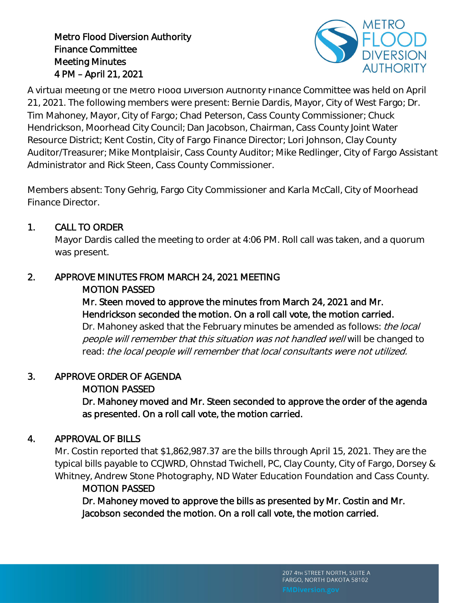Metro Flood Diversion Authority Finance Committee Meeting Minutes 4 PM – April 21, 2021



A virtual meeting of the Metro Flood Diversion Authority Finance Committee was held on April 21, 2021. The following members were present: Bernie Dardis, Mayor, City of West Fargo; Dr. Tim Mahoney, Mayor, City of Fargo; Chad Peterson, Cass County Commissioner; Chuck Hendrickson, Moorhead City Council; Dan Jacobson, Chairman, Cass County Joint Water Resource District; Kent Costin, City of Fargo Finance Director; Lori Johnson, Clay County Auditor/Treasurer; Mike Montplaisir, Cass County Auditor; Mike Redlinger, City of Fargo Assistant Administrator and Rick Steen, Cass County Commissioner.

Members absent: Tony Gehrig, Fargo City Commissioner and Karla McCall, City of Moorhead Finance Director.

## 1. CALL TO ORDER

Mayor Dardis called the meeting to order at 4:06 PM. Roll call was taken, and a quorum was present.

# 2. APPROVE MINUTES FROM MARCH 24, 2021 MEETING

### MOTION PASSED

## Mr. Steen moved to approve the minutes from March 24, 2021 and Mr. Hendrickson seconded the motion. On a roll call vote, the motion carried.

Dr. Mahoney asked that the February minutes be amended as follows: *the local* people will remember that this situation was not handled well will be changed to read: the local people will remember that local consultants were not utilized.

# 3. APPROVE ORDER OF AGENDA

# MOTION PASSED

Dr. Mahoney moved and Mr. Steen seconded to approve the order of the agenda as presented. On a roll call vote, the motion carried.

# 4. APPROVAL OF BILLS

Mr. Costin reported that \$1,862,987.37 are the bills through April 15, 2021. They are the typical bills payable to CCJWRD, Ohnstad Twichell, PC, Clay County, City of Fargo, Dorsey & Whitney, Andrew Stone Photography, ND Water Education Foundation and Cass County.

# MOTION PASSED

Dr. Mahoney moved to approve the bills as presented by Mr. Costin and Mr. Jacobson seconded the motion. On a roll call vote, the motion carried.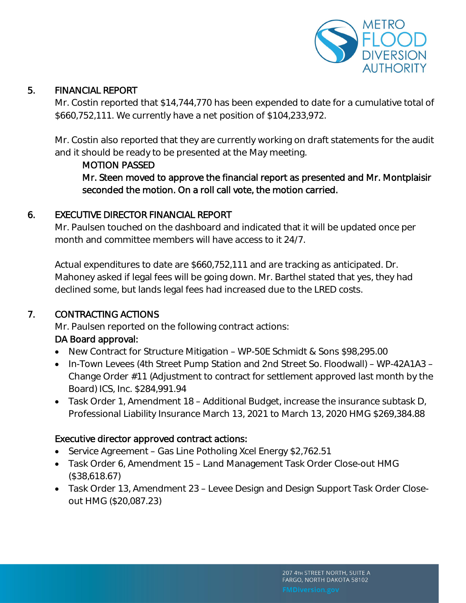

#### 5. FINANCIAL REPORT

Mr. Costin reported that \$14,744,770 has been expended to date for a cumulative total of \$660,752,111. We currently have a net position of \$104,233,972.

Mr. Costin also reported that they are currently working on draft statements for the audit and it should be ready to be presented at the May meeting.

#### MOTION PASSED

Mr. Steen moved to approve the financial report as presented and Mr. Montplaisir seconded the motion. On a roll call vote, the motion carried.

### 6. EXECUTIVE DIRECTOR FINANCIAL REPORT

Mr. Paulsen touched on the dashboard and indicated that it will be updated once per month and committee members will have access to it 24/7.

Actual expenditures to date are \$660,752,111 and are tracking as anticipated. Dr. Mahoney asked if legal fees will be going down. Mr. Barthel stated that yes, they had declined some, but lands legal fees had increased due to the LRED costs.

### 7. CONTRACTING ACTIONS

Mr. Paulsen reported on the following contract actions:

### DA Board approval:

- New Contract for Structure Mitigation WP-50E Schmidt & Sons \$98,295.00
- In-Town Levees (4th Street Pump Station and 2nd Street So. Floodwall) WP-42A1A3 Change Order #11 (Adjustment to contract for settlement approved last month by the Board) ICS, Inc. \$284,991.94
- Task Order 1, Amendment 18 Additional Budget, increase the insurance subtask D, Professional Liability Insurance March 13, 2021 to March 13, 2020 HMG \$269,384.88

#### Executive director approved contract actions:

- Service Agreement Gas Line Potholing Xcel Energy \$2,762.51
- Task Order 6, Amendment 15 Land Management Task Order Close-out HMG (\$38,618.67)
- Task Order 13, Amendment 23 Levee Design and Design Support Task Order Closeout HMG (\$20,087.23)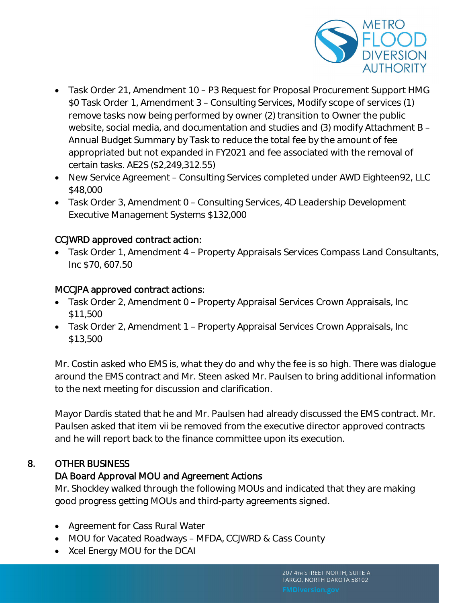

- Task Order 21, Amendment 10 P3 Request for Proposal Procurement Support HMG \$0 Task Order 1, Amendment 3 – Consulting Services, Modify scope of services (1) remove tasks now being performed by owner (2) transition to Owner the public website, social media, and documentation and studies and (3) modify Attachment B – Annual Budget Summary by Task to reduce the total fee by the amount of fee appropriated but not expanded in FY2021 and fee associated with the removal of certain tasks. AE2S (\$2,249,312.55)
- New Service Agreement Consulting Services completed under AWD Eighteen92, LLC \$48,000
- Task Order 3, Amendment 0 Consulting Services, 4D Leadership Development Executive Management Systems \$132,000

### CCJWRD approved contract action:

 Task Order 1, Amendment 4 – Property Appraisals Services Compass Land Consultants, Inc \$70, 607.50

#### MCCJPA approved contract actions:

- Task Order 2, Amendment 0 Property Appraisal Services Crown Appraisals, Inc \$11,500
- Task Order 2, Amendment 1 Property Appraisal Services Crown Appraisals, Inc \$13,500

Mr. Costin asked who EMS is, what they do and why the fee is so high. There was dialogue around the EMS contract and Mr. Steen asked Mr. Paulsen to bring additional information to the next meeting for discussion and clarification.

Mayor Dardis stated that he and Mr. Paulsen had already discussed the EMS contract. Mr. Paulsen asked that item vii be removed from the executive director approved contracts and he will report back to the finance committee upon its execution.

### 8. OTHER BUSINESS

### DA Board Approval MOU and Agreement Actions

Mr. Shockley walked through the following MOUs and indicated that they are making good progress getting MOUs and third-party agreements signed.

- Agreement for Cass Rural Water
- MOU for Vacated Roadways MFDA, CCJWRD & Cass County
- Xcel Energy MOU for the DCAI